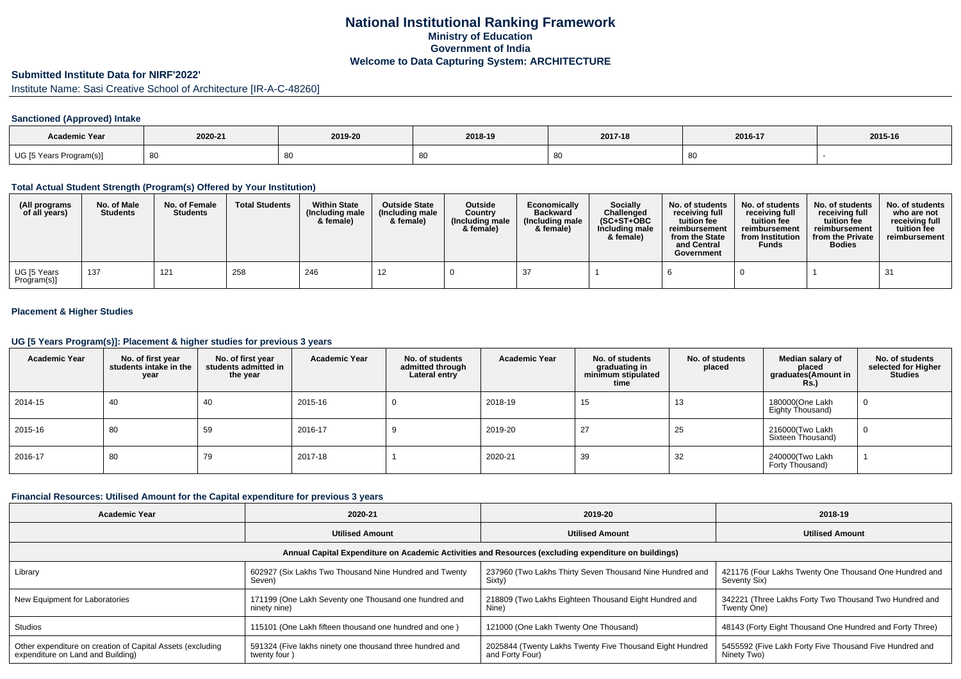# **National Institutional Ranking FrameworkMinistry of Education Government of IndiaWelcome to Data Capturing System: ARCHITECTURE**

# **Submitted Institute Data for NIRF'2022'**

Institute Name: Sasi Creative School of Architecture [IR-A-C-48260]

### **Sanctioned (Approved) Intake**

| Academic Year                |         |         |         |         |         |         |
|------------------------------|---------|---------|---------|---------|---------|---------|
|                              | 2020-21 | 2019-20 | 2018-19 | 2017-18 | 2016-17 | 2015-16 |
| UG [5 Years F.<br>Program(s) |         |         | -80     |         |         |         |

#### **Total Actual Student Strength (Program(s) Offered by Your Institution)**

| (All programs<br>of all years) | No. of Male<br><b>Students</b> | No. of Female<br><b>Students</b> | <b>Total Students</b> | <b>Within State</b><br>(Including male<br>& female) | <b>Outside State</b><br>(Including male<br>& female) | Outside<br>Country<br>(Including male<br>& female) | Economically<br><b>Backward</b><br>(Including male<br>& female) | Socially<br>Challenged<br>$(SC+ST+OBC$<br>Including male<br>& female) | No. of students<br>receiving full<br>tuition fee<br>reimbursement<br>from the State<br>and Central<br>Government | No. of students<br>receiving full<br>tuition fee<br>reimbursement<br>from Institution<br><b>Funds</b> | No. of students<br>receiving full<br>tuition fee<br>reimbursement<br>from the Private<br><b>Bodies</b> | No. of students<br>who are not<br>receiving full<br>tuition fee<br>reimbursement |
|--------------------------------|--------------------------------|----------------------------------|-----------------------|-----------------------------------------------------|------------------------------------------------------|----------------------------------------------------|-----------------------------------------------------------------|-----------------------------------------------------------------------|------------------------------------------------------------------------------------------------------------------|-------------------------------------------------------------------------------------------------------|--------------------------------------------------------------------------------------------------------|----------------------------------------------------------------------------------|
| UG [5 Years<br>Program(s)]     | 137                            | 121                              | 258                   | 246                                                 | 12                                                   |                                                    |                                                                 |                                                                       |                                                                                                                  |                                                                                                       |                                                                                                        | 31                                                                               |

### **Placement & Higher Studies**

#### **UG [5 Years Program(s)]: Placement & higher studies for previous 3 years**

| <b>Academic Year</b> | No. of first year<br>students intake in the<br>year | No. of first year<br>students admitted in<br>the year | <b>Academic Year</b> | No. of students<br>admitted through<br>Lateral entry | <b>Academic Year</b> | No. of students<br>graduating in<br>minimum stipulated<br>time | No. of students<br>placed | Median salary of<br>placed<br>graduates(Amount in<br><b>Rs.)</b> | No. of students<br>selected for Higher<br><b>Studies</b> |
|----------------------|-----------------------------------------------------|-------------------------------------------------------|----------------------|------------------------------------------------------|----------------------|----------------------------------------------------------------|---------------------------|------------------------------------------------------------------|----------------------------------------------------------|
| 2014-15              | 40                                                  | 40                                                    | 2015-16              | υ                                                    | 2018-19              | 15                                                             | 13                        | 180000(One Lakh<br>Eighty Thousand)                              | $\mathbf{0}$                                             |
| 2015-16              | 80                                                  | 59                                                    | 2016-17              | - 3                                                  | 2019-20              | 27                                                             | 25                        | 216000(Two Lakh<br>Sixteen Thousand)                             | 0                                                        |
| 2016-17              | 80                                                  | 79                                                    | 2017-18              |                                                      | 2020-21              | 39                                                             | 32                        | 240000(Two Lakh<br>Forty Thousand)                               |                                                          |

#### **Financial Resources: Utilised Amount for the Capital expenditure for previous 3 years**

| <b>Academic Year</b>                                                                                 | 2020-21                                                                  | 2019-20                                                                     | 2018-19                                                                |  |  |  |  |  |  |
|------------------------------------------------------------------------------------------------------|--------------------------------------------------------------------------|-----------------------------------------------------------------------------|------------------------------------------------------------------------|--|--|--|--|--|--|
|                                                                                                      | <b>Utilised Amount</b>                                                   | <b>Utilised Amount</b>                                                      | <b>Utilised Amount</b>                                                 |  |  |  |  |  |  |
| Annual Capital Expenditure on Academic Activities and Resources (excluding expenditure on buildings) |                                                                          |                                                                             |                                                                        |  |  |  |  |  |  |
| Library                                                                                              | 602927 (Six Lakhs Two Thousand Nine Hundred and Twenty<br>Seven)         | 237960 (Two Lakhs Thirty Seven Thousand Nine Hundred and<br>Sixty)          | 421176 (Four Lakhs Twenty One Thousand One Hundred and<br>Seventy Six) |  |  |  |  |  |  |
| New Equipment for Laboratories                                                                       | 171199 (One Lakh Seventy one Thousand one hundred and<br>ninety nine)    | 218809 (Two Lakhs Eighteen Thousand Eight Hundred and<br>Nine)              | 342221 (Three Lakhs Forty Two Thousand Two Hundred and<br>Twenty One)  |  |  |  |  |  |  |
| <b>Studios</b>                                                                                       | 115101 (One Lakh fifteen thousand one hundred and one)                   | 121000 (One Lakh Twenty One Thousand)                                       | 48143 (Forty Eight Thousand One Hundred and Forty Three)               |  |  |  |  |  |  |
| Other expenditure on creation of Capital Assets (excluding<br>expenditure on Land and Building)      | 591324 (Five lakhs ninety one thousand three hundred and<br>twenty four) | 2025844 (Twenty Lakhs Twenty Five Thousand Eight Hundred<br>and Forty Four) | 5455592 (Five Lakh Forty Five Thousand Five Hundred and<br>Ninety Two) |  |  |  |  |  |  |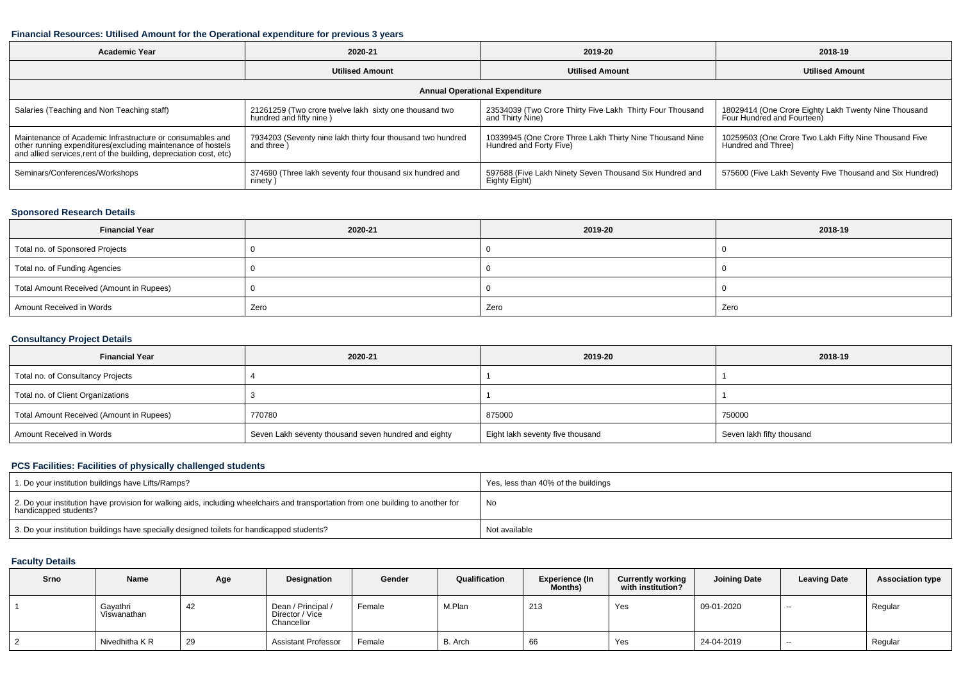#### **Financial Resources: Utilised Amount for the Operational expenditure for previous 3 years**

| <b>Academic Year</b>                                                                                                                                                                           | 2020-21                                                                           | 2019-20                                                                             | 2018-19                                                                            |  |  |  |  |  |  |
|------------------------------------------------------------------------------------------------------------------------------------------------------------------------------------------------|-----------------------------------------------------------------------------------|-------------------------------------------------------------------------------------|------------------------------------------------------------------------------------|--|--|--|--|--|--|
|                                                                                                                                                                                                | <b>Utilised Amount</b>                                                            | <b>Utilised Amount</b>                                                              | <b>Utilised Amount</b>                                                             |  |  |  |  |  |  |
| <b>Annual Operational Expenditure</b>                                                                                                                                                          |                                                                                   |                                                                                     |                                                                                    |  |  |  |  |  |  |
| Salaries (Teaching and Non Teaching staff)                                                                                                                                                     | 21261259 (Two crore twelve lakh sixty one thousand two<br>hundred and fifty nine) | 23534039 (Two Crore Thirty Five Lakh Thirty Four Thousand<br>and Thirty Nine)       | 18029414 (One Crore Eighty Lakh Twenty Nine Thousand<br>Four Hundred and Fourteen) |  |  |  |  |  |  |
| Maintenance of Academic Infrastructure or consumables and<br>other running expenditures(excluding maintenance of hostels<br>and allied services, rent of the building, depreciation cost, etc) | 7934203 (Seventy nine lakh thirty four thousand two hundred<br>and three)         | 10339945 (One Crore Three Lakh Thirty Nine Thousand Nine<br>Hundred and Forty Five) | 10259503 (One Crore Two Lakh Fifty Nine Thousand Five<br>Hundred and Three)        |  |  |  |  |  |  |
| Seminars/Conferences/Workshops                                                                                                                                                                 | 374690 (Three lakh seventy four thousand six hundred and<br>ninety)               | 597688 (Five Lakh Ninety Seven Thousand Six Hundred and<br>Eighty Eight)            | 575600 (Five Lakh Seventy Five Thousand and Six Hundred)                           |  |  |  |  |  |  |

### **Sponsored Research Details**

| <b>Financial Year</b>                    | 2020-21 | 2019-20 | 2018-19 |
|------------------------------------------|---------|---------|---------|
| Total no. of Sponsored Projects          |         |         |         |
| Total no. of Funding Agencies            |         |         |         |
| Total Amount Received (Amount in Rupees) |         |         |         |
| Amount Received in Words                 | Zero    | Zero    | Zero    |

### **Consultancy Project Details**

| <b>Financial Year</b>                    | 2020-21                                              | 2019-20                          | 2018-19                   |  |
|------------------------------------------|------------------------------------------------------|----------------------------------|---------------------------|--|
| Total no. of Consultancy Projects        |                                                      |                                  |                           |  |
| Total no. of Client Organizations        |                                                      |                                  |                           |  |
| Total Amount Received (Amount in Rupees) | 770780                                               | 875000                           | 750000                    |  |
| Amount Received in Words                 | Seven Lakh seventy thousand seven hundred and eighty | Eight lakh seventy five thousand | Seven lakh fifty thousand |  |

## **PCS Facilities: Facilities of physically challenged students**

| 1. Do your institution buildings have Lifts/Ramps?                                                                                                         | Yes, less than 40% of the buildings |
|------------------------------------------------------------------------------------------------------------------------------------------------------------|-------------------------------------|
| 2. Do your institution have provision for walking aids, including wheelchairs and transportation from one building to another for<br>handicapped students? | No                                  |
| 3. Do your institution buildings have specially designed toilets for handicapped students?                                                                 | Not available                       |

## **Faculty Details**

| Srno | Name                    | Age | Designation                                         | Gender | Qualification | <b>Experience (In</b><br><b>Months)</b> | <b>Currently working</b><br>with institution? | <b>Joining Date</b> | <b>Leaving Date</b> | <b>Association type</b> |
|------|-------------------------|-----|-----------------------------------------------------|--------|---------------|-----------------------------------------|-----------------------------------------------|---------------------|---------------------|-------------------------|
|      | Gayathri<br>Viswanathan | 42  | Dean / Principal /<br>Director / Vice<br>Chancellor | Female | M.Plan        | 213                                     | Yes                                           | 09-01-2020          | --                  | Regular                 |
|      | Nivedhitha K R          | 29  | <b>Assistant Professor</b>                          | Female | B. Arch       | 66                                      | Yes                                           | 24-04-2019          | --                  | Regular                 |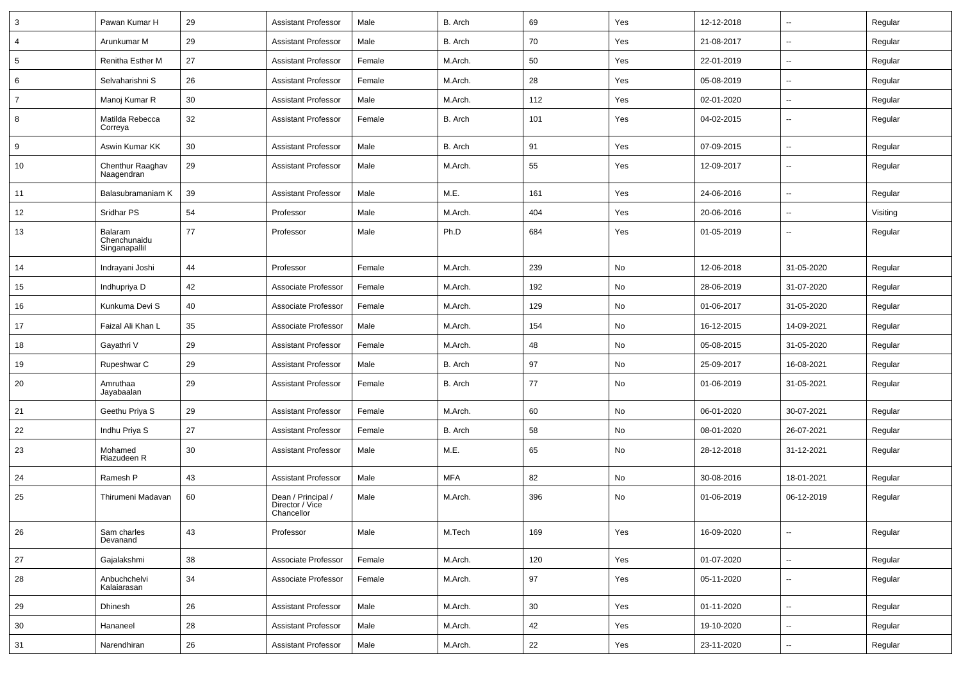| 3              | Pawan Kumar H                            | 29 | <b>Assistant Professor</b>                          | Male   | B. Arch    | 69  | Yes | 12-12-2018 | $\overline{\phantom{a}}$ | Regular  |
|----------------|------------------------------------------|----|-----------------------------------------------------|--------|------------|-----|-----|------------|--------------------------|----------|
| $\overline{4}$ | Arunkumar M                              | 29 | <b>Assistant Professor</b>                          | Male   | B. Arch    | 70  | Yes | 21-08-2017 | ⊷.                       | Regular  |
| 5              | Renitha Esther M                         | 27 | <b>Assistant Professor</b>                          | Female | M.Arch.    | 50  | Yes | 22-01-2019 | --                       | Regular  |
| 6              | Selvaharishni S                          | 26 | <b>Assistant Professor</b>                          | Female | M.Arch.    | 28  | Yes | 05-08-2019 | -−                       | Regular  |
| $\overline{7}$ | Manoj Kumar R                            | 30 | <b>Assistant Professor</b>                          | Male   | M.Arch.    | 112 | Yes | 02-01-2020 | $\overline{\phantom{a}}$ | Regular  |
| 8              | Matilda Rebecca<br>Correya               | 32 | <b>Assistant Professor</b>                          | Female | B. Arch    | 101 | Yes | 04-02-2015 | -−                       | Regular  |
| 9              | Aswin Kumar KK                           | 30 | <b>Assistant Professor</b>                          | Male   | B. Arch    | 91  | Yes | 07-09-2015 | --                       | Regular  |
| 10             | Chenthur Raaghav<br>Naagendran           | 29 | <b>Assistant Professor</b>                          | Male   | M.Arch.    | 55  | Yes | 12-09-2017 | $\overline{\phantom{a}}$ | Regular  |
| 11             | Balasubramaniam K                        | 39 | <b>Assistant Professor</b>                          | Male   | M.E.       | 161 | Yes | 24-06-2016 | $\sim$                   | Regular  |
| 12             | Sridhar PS                               | 54 | Professor                                           | Male   | M.Arch.    | 404 | Yes | 20-06-2016 | ⊷.                       | Visiting |
| 13             | Balaram<br>Chenchunaidu<br>Singanapallil | 77 | Professor                                           | Male   | Ph.D       | 684 | Yes | 01-05-2019 | --                       | Regular  |
| 14             | Indrayani Joshi                          | 44 | Professor                                           | Female | M.Arch.    | 239 | No  | 12-06-2018 | 31-05-2020               | Regular  |
| 15             | Indhupriya D                             | 42 | Associate Professor                                 | Female | M.Arch.    | 192 | No  | 28-06-2019 | 31-07-2020               | Regular  |
| 16             | Kunkuma Devi S                           | 40 | Associate Professor                                 | Female | M.Arch.    | 129 | No  | 01-06-2017 | 31-05-2020               | Regular  |
| 17             | Faizal Ali Khan L                        | 35 | Associate Professor                                 | Male   | M.Arch.    | 154 | No  | 16-12-2015 | 14-09-2021               | Regular  |
| 18             | Gayathri V                               | 29 | <b>Assistant Professor</b>                          | Female | M.Arch.    | 48  | No  | 05-08-2015 | 31-05-2020               | Regular  |
| 19             | Rupeshwar C                              | 29 | <b>Assistant Professor</b>                          | Male   | B. Arch    | 97  | No  | 25-09-2017 | 16-08-2021               | Regular  |
| 20             | Amruthaa<br>Jayabaalan                   | 29 | <b>Assistant Professor</b>                          | Female | B. Arch    | 77  | No  | 01-06-2019 | 31-05-2021               | Regular  |
| 21             | Geethu Priya S                           | 29 | <b>Assistant Professor</b>                          | Female | M.Arch.    | 60  | No  | 06-01-2020 | 30-07-2021               | Regular  |
| 22             | Indhu Priya S                            | 27 | <b>Assistant Professor</b>                          | Female | B. Arch    | 58  | No  | 08-01-2020 | 26-07-2021               | Regular  |
| 23             | Mohamed<br>Riazudeen R                   | 30 | <b>Assistant Professor</b>                          | Male   | M.E.       | 65  | No  | 28-12-2018 | 31-12-2021               | Regular  |
| 24             | Ramesh P                                 | 43 | <b>Assistant Professor</b>                          | Male   | <b>MFA</b> | 82  | No  | 30-08-2016 | 18-01-2021               | Regular  |
| 25             | Thirumeni Madavan                        | 60 | Dean / Principal /<br>Director / Vice<br>Chancellor | Male   | M.Arch.    | 396 | No  | 01-06-2019 | 06-12-2019               | Regular  |
| 26             | Sam charles<br>Devanand                  | 43 | Professor                                           | Male   | M.Tech     | 169 | Yes | 16-09-2020 | ⊷                        | Regular  |
| 27             | Gajalakshmi                              | 38 | Associate Professor                                 | Female | M.Arch.    | 120 | Yes | 01-07-2020 | Щ,                       | Regular  |
| 28             | Anbuchchelvi<br>Kalaiarasan              | 34 | Associate Professor                                 | Female | M.Arch.    | 97  | Yes | 05-11-2020 | -−                       | Regular  |
| 29             | Dhinesh                                  | 26 | <b>Assistant Professor</b>                          | Male   | M.Arch.    | 30  | Yes | 01-11-2020 | $\sim$                   | Regular  |
| 30             | Hananeel                                 | 28 | <b>Assistant Professor</b>                          | Male   | M.Arch.    | 42  | Yes | 19-10-2020 | н.                       | Regular  |
| 31             | Narendhiran                              | 26 | <b>Assistant Professor</b>                          | Male   | M.Arch.    | 22  | Yes | 23-11-2020 | $\overline{\phantom{a}}$ | Regular  |